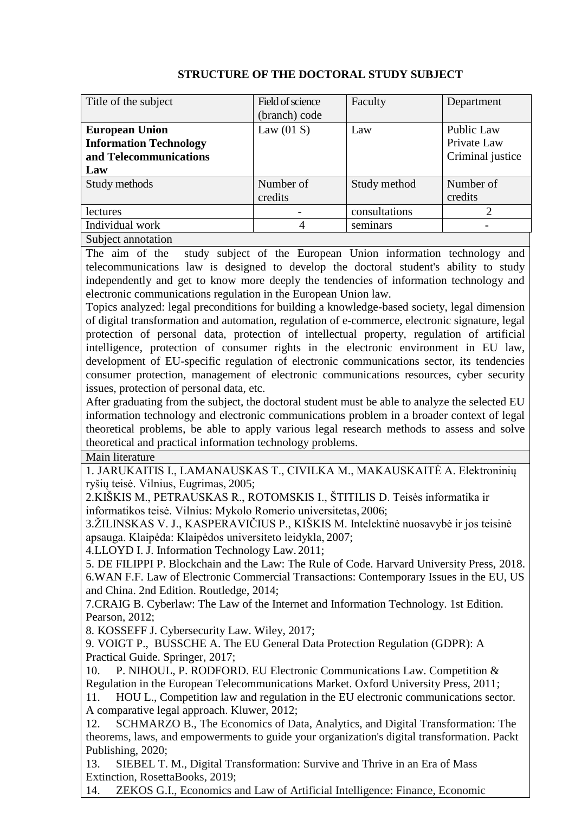## **STRUCTURE OF THE DOCTORAL STUDY SUBJECT**

| Title of the subject          | Field of science | Faculty       | Department                  |
|-------------------------------|------------------|---------------|-----------------------------|
|                               | (branch) code    |               |                             |
| <b>European Union</b>         | Law $(01 S)$     | Law           | Public Law                  |
| <b>Information Technology</b> |                  |               | Private Law                 |
| and Telecommunications        |                  |               | Criminal justice            |
| Law                           |                  |               |                             |
| Study methods                 | Number of        | Study method  | Number of                   |
|                               | credits          |               | credits                     |
| <i>lectures</i>               |                  | consultations | $\mathcal{D}_{\mathcal{L}}$ |
| Individual work               | 4                | seminars      |                             |
| Subject annotation            |                  |               |                             |

The aim of the study subject of the European Union information technology and telecommunications law is designed to develop the doctoral student's ability to study independently and get to know more deeply the tendencies of information technology and electronic communications regulation in the European Union law.

Topics analyzed: legal preconditions for building a knowledge-based society, legal dimension of digital transformation and automation, regulation of e-commerce, electronic signature, legal protection of personal data, protection of intellectual property, regulation of artificial intelligence, protection of consumer rights in the electronic environment in EU law, development of EU-specific regulation of electronic communications sector, its tendencies consumer protection, management of electronic communications resources, cyber security issues, protection of personal data, etc.

After graduating from the subject, the doctoral student must be able to analyze the selected EU information technology and electronic communications problem in a broader context of legal theoretical problems, be able to apply various legal research methods to assess and solve theoretical and practical information technology problems.

Main literature

1. JARUKAITIS I., LAMANAUSKAS T., CIVILKA M., MAKAUSKAITĖ A. Elektroninių ryšių teisė. Vilnius, Eugrimas, 2005;

2.KIŠKIS M., PETRAUSKAS R., ROTOMSKIS I., ŠTITILIS D. Teisės informatika ir informatikos teisė. Vilnius: Mykolo Romerio universitetas, 2006;

3.ŽILINSKAS V. J., KASPERAVIČIUS P., KIŠKIS M. Intelektinė nuosavybė ir jos teisinė apsauga. Klaipėda: Klaipėdos universiteto leidykla, 2007;

4.LLOYD I. J. [Information Technology Law.](http://www.amazon.com/Information-Technology-Law-Ian-Lloyd/dp/0199588740/ref%3Dsr_1_1?ie=UTF8&qid=1319434696&sr=8-1) 2011;

5. DE FILIPPI P. Blockchain and the Law: The Rule of Code. Harvard University Press, 2018. 6.WAN F.F. Law of Electronic Commercial Transactions: Contemporary Issues in the EU, US and China. 2nd Edition. Routledge, 2014;

7.CRAIG B. Cyberlaw: The Law of the Internet and Information Technology. 1st Edition. Pearson, 2012;

8. KOSSEFF J. Cybersecurity Law. Wiley, 2017;

9. [VOIGT](https://www.amazon.com/s/ref=dp_byline_sr_book_1?ie=UTF8&text=Paul+Voigt&search-alias=books&field-author=Paul+Voigt&sort=relevancerank) P., [BUSSCHE](https://www.amazon.com/s/ref=dp_byline_sr_book_2?ie=UTF8&text=Axel+von+dem+Bussche&search-alias=books&field-author=Axel+von+dem+Bussche&sort=relevancerank) A. The EU General Data Protection Regulation (GDPR): A Practical Guide. Springer, 2017;

10. P. NIHOUL, P. RODFORD. EU Electronic Communications Law. Competition & Regulation in the European Telecommunications Market. Oxford University Press, 2011;

11. HOU L., Competition law and regulation in the EU electronic communications sector. A comparative legal approach. Kluwer, 2012;

12. SCHMARZO B., The Economics of Data, Analytics, and Digital Transformation: The theorems, laws, and empowerments to guide your organization's digital transformation. Packt Publishing, 2020;

13. SIEBEL T. M., Digital Transformation: Survive and Thrive in an Era of Mass Extinction, RosettaBooks, 2019;

14. ZEKOS G.I., Economics and Law of Artificial Intelligence: Finance, Economic